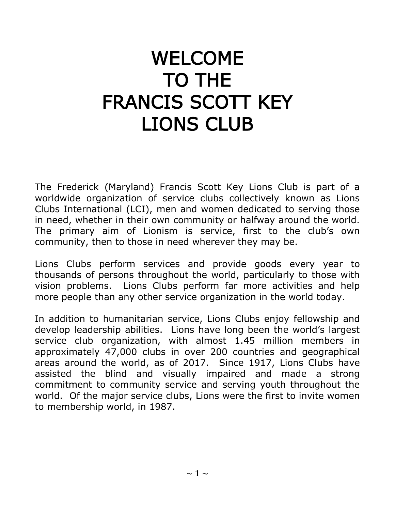# WELCOME TO THE FRANCIS SCOTT KEY LIONS CLUB

The Frederick (Maryland) Francis Scott Key Lions Club is part of a worldwide organization of service clubs collectively known as Lions Clubs International (LCI), men and women dedicated to serving those in need, whether in their own community or halfway around the world. The primary aim of Lionism is service, first to the club's own community, then to those in need wherever they may be.

Lions Clubs perform services and provide goods every year to thousands of persons throughout the world, particularly to those with vision problems. Lions Clubs perform far more activities and help more people than any other service organization in the world today.

In addition to humanitarian service, Lions Clubs enjoy fellowship and develop leadership abilities. Lions have long been the world's largest service club organization, with almost 1.45 million members in approximately 47,000 clubs in over 200 countries and geographical areas around the world, as of 2017. Since 1917, Lions Clubs have assisted the blind and visually impaired and made a strong commitment to community service and serving youth throughout the world. Of the major service clubs, Lions were the first to invite women to membership world, in 1987.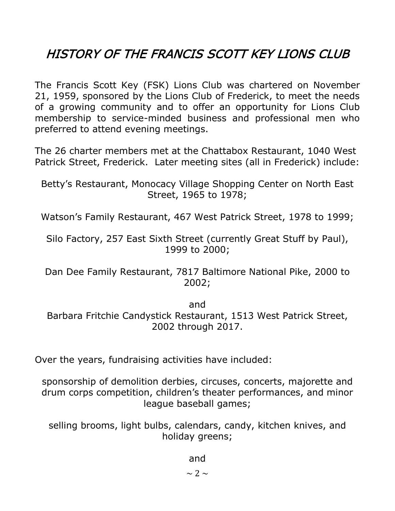# HISTORY OF THE FRANCIS SCOTT KEY LIONS CLUB

The Francis Scott Key (FSK) Lions Club was chartered on November 21, 1959, sponsored by the Lions Club of Frederick, to meet the needs of a growing community and to offer an opportunity for Lions Club membership to service-minded business and professional men who preferred to attend evening meetings.

The 26 charter members met at the Chattabox Restaurant, 1040 West Patrick Street, Frederick. Later meeting sites (all in Frederick) include:

Betty's Restaurant, Monocacy Village Shopping Center on North East Street, 1965 to 1978;

Watson's Family Restaurant, 467 West Patrick Street, 1978 to 1999;

Silo Factory, 257 East Sixth Street (currently Great Stuff by Paul), 1999 to 2000;

Dan Dee Family Restaurant, 7817 Baltimore National Pike, 2000 to 2002;

and

Barbara Fritchie Candystick Restaurant, 1513 West Patrick Street, 2002 through 2017.

Over the years, fundraising activities have included:

sponsorship of demolition derbies, circuses, concerts, majorette and drum corps competition, children's theater performances, and minor league baseball games;

selling brooms, light bulbs, calendars, candy, kitchen knives, and holiday greens;

and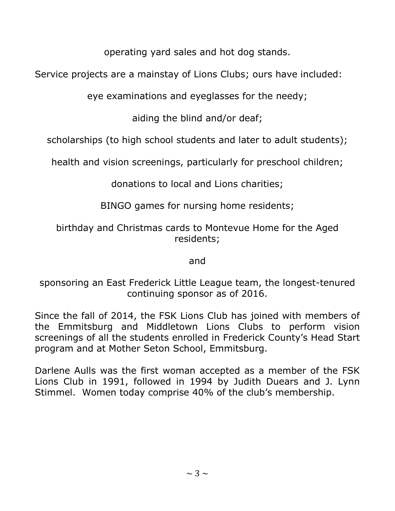operating yard sales and hot dog stands.

Service projects are a mainstay of Lions Clubs; ours have included:

eye examinations and eyeglasses for the needy;

aiding the blind and/or deaf;

scholarships (to high school students and later to adult students);

health and vision screenings, particularly for preschool children;

donations to local and Lions charities;

BINGO games for nursing home residents;

birthday and Christmas cards to Montevue Home for the Aged residents;

and

sponsoring an East Frederick Little League team, the longest-tenured continuing sponsor as of 2016.

Since the fall of 2014, the FSK Lions Club has joined with members of the Emmitsburg and Middletown Lions Clubs to perform vision screenings of all the students enrolled in Frederick County's Head Start program and at Mother Seton School, Emmitsburg.

Darlene Aulls was the first woman accepted as a member of the FSK Lions Club in 1991, followed in 1994 by Judith Duears and J. Lynn Stimmel. Women today comprise 40% of the club's membership.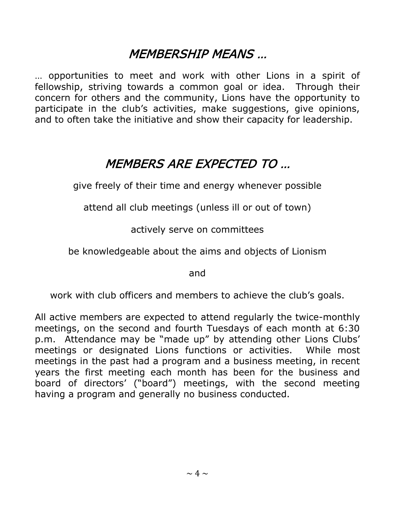### MEMBERSHIP MEANS …

… opportunities to meet and work with other Lions in a spirit of fellowship, striving towards a common goal or idea. Through their concern for others and the community, Lions have the opportunity to participate in the club's activities, make suggestions, give opinions, and to often take the initiative and show their capacity for leadership.

## MEMBERS ARE EXPECTED TO …

give freely of their time and energy whenever possible

attend all club meetings (unless ill or out of town)

actively serve on committees

be knowledgeable about the aims and objects of Lionism

and

work with club officers and members to achieve the club's goals.

All active members are expected to attend regularly the twice-monthly meetings, on the second and fourth Tuesdays of each month at 6:30 p.m. Attendance may be "made up" by attending other Lions Clubs' meetings or designated Lions functions or activities. While most meetings in the past had a program and a business meeting, in recent years the first meeting each month has been for the business and board of directors' ("board") meetings, with the second meeting having a program and generally no business conducted.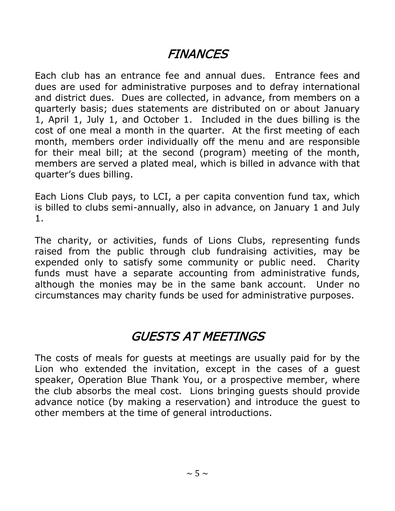## **FINANCES**

Each club has an entrance fee and annual dues. Entrance fees and dues are used for administrative purposes and to defray international and district dues. Dues are collected, in advance, from members on a quarterly basis; dues statements are distributed on or about January 1, April 1, July 1, and October 1. Included in the dues billing is the cost of one meal a month in the quarter. At the first meeting of each month, members order individually off the menu and are responsible for their meal bill; at the second (program) meeting of the month, members are served a plated meal, which is billed in advance with that quarter's dues billing.

Each Lions Club pays, to LCI, a per capita convention fund tax, which is billed to clubs semi-annually, also in advance, on January 1 and July 1.

The charity, or activities, funds of Lions Clubs, representing funds raised from the public through club fundraising activities, may be expended only to satisfy some community or public need. Charity funds must have a separate accounting from administrative funds, although the monies may be in the same bank account. Under no circumstances may charity funds be used for administrative purposes.

### GUESTS AT MEETINGS

The costs of meals for guests at meetings are usually paid for by the Lion who extended the invitation, except in the cases of a guest speaker, Operation Blue Thank You, or a prospective member, where the club absorbs the meal cost. Lions bringing guests should provide advance notice (by making a reservation) and introduce the guest to other members at the time of general introductions.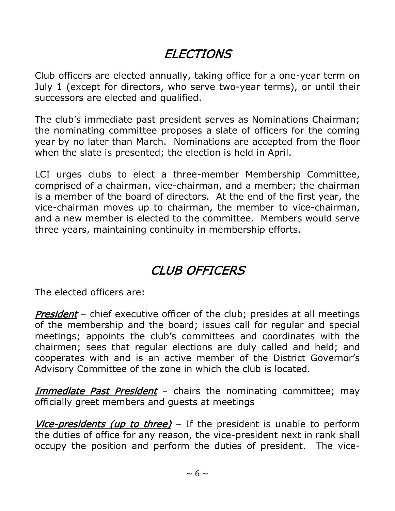## **ELECTIONS**

Club officers are elected annually, taking office for a one-year term on July 1 (except for directors, who serve two-year terms), or until their successors are elected and qualified.

The club's immediate past president serves as Nominations Chairman; the nominating committee proposes a slate of officers for the coming year by no later than March. Nominations are accepted from the floor when the slate is presented; the election is held in April.

LCI urges clubs to elect a three-member Membership Committee, comprised of a chairman, vice-chairman, and a member; the chairman is a member of the board of directors. At the end of the first year, the vice-chairman moves up to chairman, the member to vice-chairman, and a new member is elected to the committee. Members would serve three years, maintaining continuity in membership efforts.

### CLUB OFFICERS

The elected officers are:

**President** – chief executive officer of the club; presides at all meetings of the membership and the board; issues call for regular and special meetings; appoints the club's committees and coordinates with the chairmen; sees that regular elections are duly called and held; and cooperates with and is an active member of the District Governor's Advisory Committee of the zone in which the club is located.

Immediate Past President – chairs the nominating committee; may officially greet members and guests at meetings

Vice-presidents (up to three) – If the president is unable to perform the duties of office for any reason, the vice-president next in rank shall occupy the position and perform the duties of president. The vice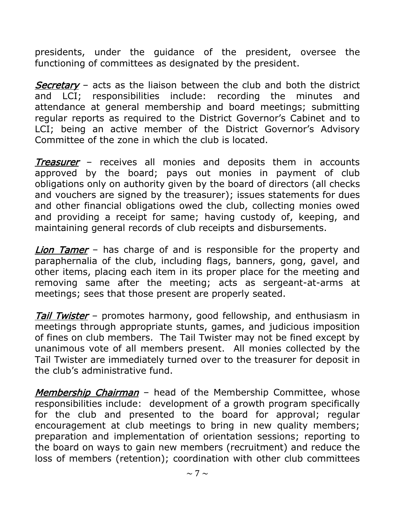presidents, under the guidance of the president, oversee the functioning of committees as designated by the president.

Secretary – acts as the liaison between the club and both the district and LCI; responsibilities include: recording the minutes and attendance at general membership and board meetings; submitting regular reports as required to the District Governor's Cabinet and to LCI; being an active member of the District Governor's Advisory Committee of the zone in which the club is located.

Treasurer - receives all monies and deposits them in accounts approved by the board; pays out monies in payment of club obligations only on authority given by the board of directors (all checks and vouchers are signed by the treasurer); issues statements for dues and other financial obligations owed the club, collecting monies owed and providing a receipt for same; having custody of, keeping, and maintaining general records of club receipts and disbursements.

**Lion Tamer** – has charge of and is responsible for the property and paraphernalia of the club, including flags, banners, gong, gavel, and other items, placing each item in its proper place for the meeting and removing same after the meeting; acts as sergeant-at-arms at meetings; sees that those present are properly seated.

Tail Twister – promotes harmony, good fellowship, and enthusiasm in meetings through appropriate stunts, games, and judicious imposition of fines on club members. The Tail Twister may not be fined except by unanimous vote of all members present. All monies collected by the Tail Twister are immediately turned over to the treasurer for deposit in the club's administrative fund.

Membership Chairman - head of the Membership Committee, whose responsibilities include: development of a growth program specifically for the club and presented to the board for approval; regular encouragement at club meetings to bring in new quality members; preparation and implementation of orientation sessions; reporting to the board on ways to gain new members (recruitment) and reduce the loss of members (retention); coordination with other club committees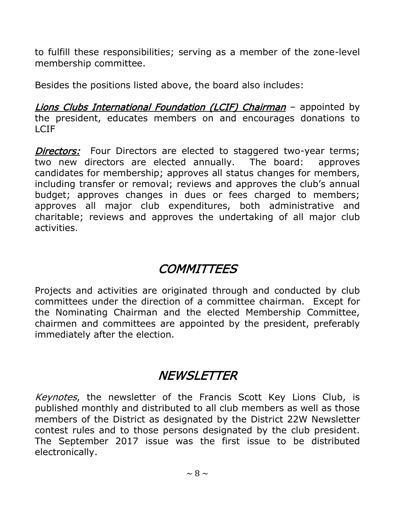to fulfill these responsibilities; serving as a member of the zone-level membership committee.

Besides the positions listed above, the board also includes:

Lions Clubs International Foundation (LCIF) Chairman - appointed by the president, educates members on and encourages donations to LCIF

**Directors:** Four Directors are elected to staggered two-year terms; two new directors are elected annually. The board: approves candidates for membership; approves all status changes for members, including transfer or removal; reviews and approves the club's annual budget; approves changes in dues or fees charged to members; approves all major club expenditures, both administrative and charitable; reviews and approves the undertaking of all major club activities.

### **COMMITTEES**

Projects and activities are originated through and conducted by club committees under the direction of a committee chairman. Except for the Nominating Chairman and the elected Membership Committee, chairmen and committees are appointed by the president, preferably immediately after the election.

#### **NEWSLETTER**

Keynotes, the newsletter of the Francis Scott Key Lions Club, is published monthly and distributed to all club members as well as those members of the District as designated by the District 22W Newsletter contest rules and to those persons designated by the club president. The September 2017 issue was the first issue to be distributed electronically.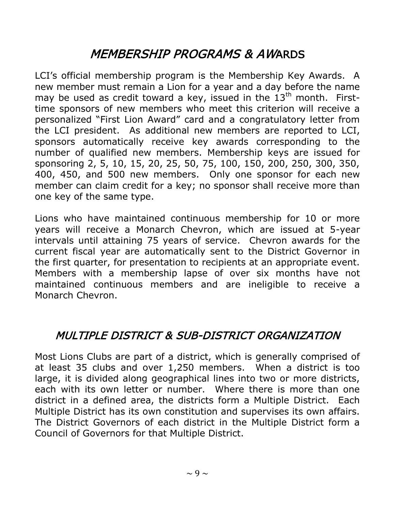## MEMBERSHIP PROGRAMS & AWARDS

LCI's official membership program is the Membership Key Awards. A new member must remain a Lion for a year and a day before the name may be used as credit toward a key, issued in the  $13<sup>th</sup>$  month. Firsttime sponsors of new members who meet this criterion will receive a personalized "First Lion Award" card and a congratulatory letter from the LCI president. As additional new members are reported to LCI, sponsors automatically receive key awards corresponding to the number of qualified new members. Membership keys are issued for sponsoring 2, 5, 10, 15, 20, 25, 50, 75, 100, 150, 200, 250, 300, 350, 400, 450, and 500 new members. Only one sponsor for each new member can claim credit for a key; no sponsor shall receive more than one key of the same type.

Lions who have maintained continuous membership for 10 or more years will receive a Monarch Chevron, which are issued at 5-year intervals until attaining 75 years of service. Chevron awards for the current fiscal year are automatically sent to the District Governor in the first quarter, for presentation to recipients at an appropriate event. Members with a membership lapse of over six months have not maintained continuous members and are ineligible to receive a Monarch Chevron.

#### MULTIPLE DISTRICT & SUB-DISTRICT ORGANIZATION

Most Lions Clubs are part of a district, which is generally comprised of at least 35 clubs and over 1,250 members. When a district is too large, it is divided along geographical lines into two or more districts, each with its own letter or number. Where there is more than one district in a defined area, the districts form a Multiple District. Each Multiple District has its own constitution and supervises its own affairs. The District Governors of each district in the Multiple District form a Council of Governors for that Multiple District.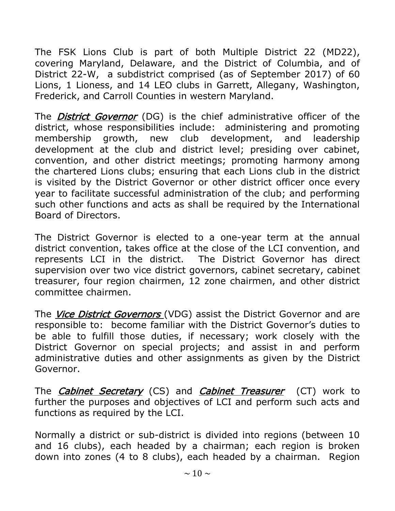The FSK Lions Club is part of both Multiple District 22 (MD22), covering Maryland, Delaware, and the District of Columbia, and of District 22-W, a subdistrict comprised (as of September 2017) of 60 Lions, 1 Lioness, and 14 LEO clubs in Garrett, Allegany, Washington, Frederick, and Carroll Counties in western Maryland.

The *District Governor* (DG) is the chief administrative officer of the district, whose responsibilities include: administering and promoting membership growth, new club development, and leadership development at the club and district level; presiding over cabinet, convention, and other district meetings; promoting harmony among the chartered Lions clubs; ensuring that each Lions club in the district is visited by the District Governor or other district officer once every year to facilitate successful administration of the club; and performing such other functions and acts as shall be required by the International Board of Directors.

The District Governor is elected to a one-year term at the annual district convention, takes office at the close of the LCI convention, and represents LCI in the district. The District Governor has direct supervision over two vice district governors, cabinet secretary, cabinet treasurer, four region chairmen, 12 zone chairmen, and other district committee chairmen.

The Vice District Governors (VDG) assist the District Governor and are responsible to: become familiar with the District Governor's duties to be able to fulfill those duties, if necessary; work closely with the District Governor on special projects; and assist in and perform administrative duties and other assignments as given by the District Governor.

The *Cabinet Secretary* (CS) and *Cabinet Treasurer* (CT) work to further the purposes and objectives of LCI and perform such acts and functions as required by the LCI.

Normally a district or sub-district is divided into regions (between 10 and 16 clubs), each headed by a chairman; each region is broken down into zones (4 to 8 clubs), each headed by a chairman. Region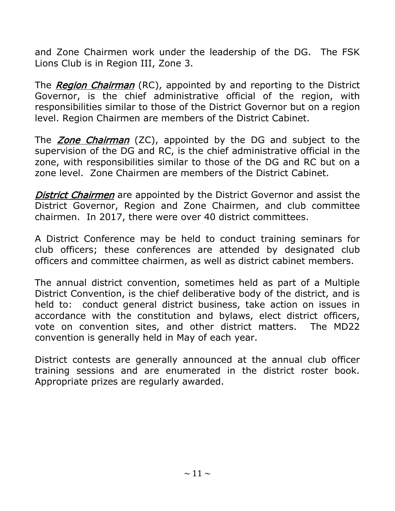and Zone Chairmen work under the leadership of the DG. The FSK Lions Club is in Region III, Zone 3.

The Region Chairman (RC), appointed by and reporting to the District Governor, is the chief administrative official of the region, with responsibilities similar to those of the District Governor but on a region level. Region Chairmen are members of the District Cabinet.

The **Zone Chairman** (ZC), appointed by the DG and subject to the supervision of the DG and RC, is the chief administrative official in the zone, with responsibilities similar to those of the DG and RC but on a zone level. Zone Chairmen are members of the District Cabinet.

**District Chairmen** are appointed by the District Governor and assist the District Governor, Region and Zone Chairmen, and club committee chairmen. In 2017, there were over 40 district committees.

A District Conference may be held to conduct training seminars for club officers; these conferences are attended by designated club officers and committee chairmen, as well as district cabinet members.

The annual district convention, sometimes held as part of a Multiple District Convention, is the chief deliberative body of the district, and is held to: conduct general district business, take action on issues in accordance with the constitution and bylaws, elect district officers, vote on convention sites, and other district matters. The MD22 convention is generally held in May of each year.

District contests are generally announced at the annual club officer training sessions and are enumerated in the district roster book. Appropriate prizes are regularly awarded.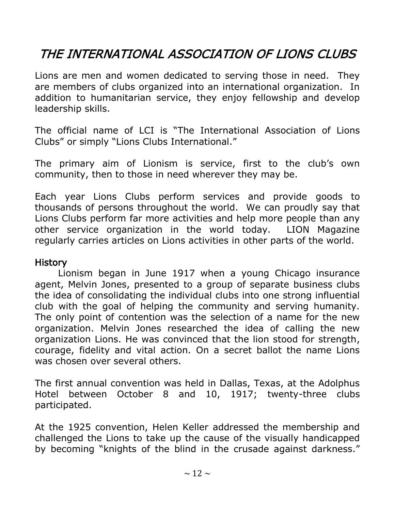# THE INTERNATIONAL ASSOCIATION OF LIONS CLUBS

Lions are men and women dedicated to serving those in need. They are members of clubs organized into an international organization. In addition to humanitarian service, they enjoy fellowship and develop leadership skills.

The official name of LCI is "The International Association of Lions Clubs" or simply "Lions Clubs International."

The primary aim of Lionism is service, first to the club's own community, then to those in need wherever they may be.

Each year Lions Clubs perform services and provide goods to thousands of persons throughout the world. We can proudly say that Lions Clubs perform far more activities and help more people than any other service organization in the world today. LION Magazine regularly carries articles on Lions activities in other parts of the world.

#### **History**

Lionism began in June 1917 when a young Chicago insurance agent, Melvin Jones, presented to a group of separate business clubs the idea of consolidating the individual clubs into one strong influential club with the goal of helping the community and serving humanity. The only point of contention was the selection of a name for the new organization. Melvin Jones researched the idea of calling the new organization Lions. He was convinced that the lion stood for strength, courage, fidelity and vital action. On a secret ballot the name Lions was chosen over several others.

The first annual convention was held in Dallas, Texas, at the Adolphus Hotel between October 8 and 10, 1917; twenty-three clubs participated.

At the 1925 convention, Helen Keller addressed the membership and challenged the Lions to take up the cause of the visually handicapped by becoming "knights of the blind in the crusade against darkness."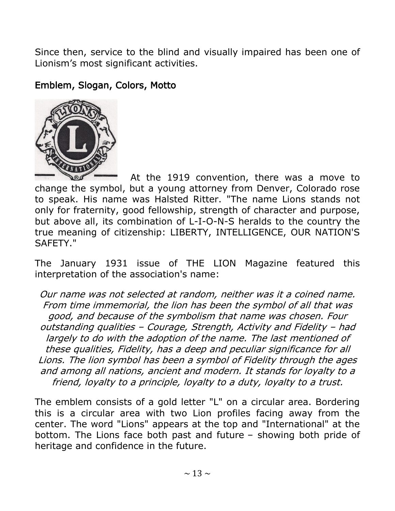Since then, service to the blind and visually impaired has been one of Lionism's most significant activities.

#### Emblem, Slogan, Colors, Motto



At the 1919 convention, there was a move to change the symbol, but a young attorney from Denver, Colorado rose to speak. His name was Halsted Ritter. "The name Lions stands not only for fraternity, good fellowship, strength of character and purpose, but above all, its combination of L-I-O-N-S heralds to the country the true meaning of citizenship: LIBERTY, INTELLIGENCE, OUR NATION'S SAFETY."

The January 1931 issue of THE LION Magazine featured this interpretation of the association's name:

Our name was not selected at random, neither was it a coined name. From time immemorial, the lion has been the symbol of all that was good, and because of the symbolism that name was chosen. Four outstanding qualities – Courage, Strength, Activity and Fidelity – had largely to do with the adoption of the name. The last mentioned of these qualities, Fidelity, has a deep and peculiar significance for all Lions. The lion symbol has been a symbol of Fidelity through the ages and among all nations, ancient and modern. It stands for loyalty to a friend, loyalty to a principle, loyalty to a duty, loyalty to a trust.

The emblem consists of a gold letter "L" on a circular area. Bordering this is a circular area with two Lion profiles facing away from the center. The word "Lions" appears at the top and "International" at the bottom. The Lions face both past and future – showing both pride of heritage and confidence in the future.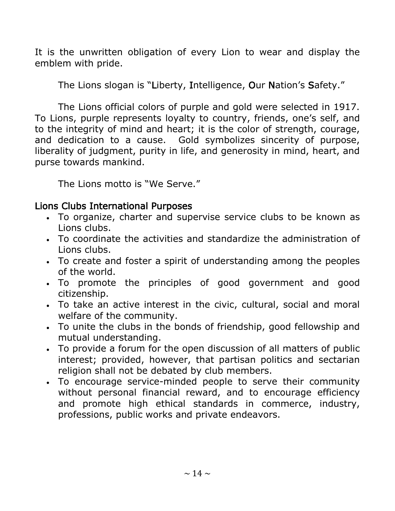It is the unwritten obligation of every Lion to wear and display the emblem with pride.

The Lions slogan is "Liberty, Intelligence, Our Nation's Safety."

The Lions official colors of purple and gold were selected in 1917. To Lions, purple represents loyalty to country, friends, one's self, and to the integrity of mind and heart; it is the color of strength, courage, and dedication to a cause. Gold symbolizes sincerity of purpose, liberality of judgment, purity in life, and generosity in mind, heart, and purse towards mankind.

The Lions motto is "We Serve."

#### Lions Clubs International Purposes

- To organize, charter and supervise service clubs to be known as Lions clubs.
- To coordinate the activities and standardize the administration of Lions clubs.
- To create and foster a spirit of understanding among the peoples of the world.
- To promote the principles of good government and good citizenship.
- To take an active interest in the civic, cultural, social and moral welfare of the community.
- To unite the clubs in the bonds of friendship, good fellowship and mutual understanding.
- To provide a forum for the open discussion of all matters of public interest; provided, however, that partisan politics and sectarian religion shall not be debated by club members.
- To encourage service-minded people to serve their community without personal financial reward, and to encourage efficiency and promote high ethical standards in commerce, industry, professions, public works and private endeavors.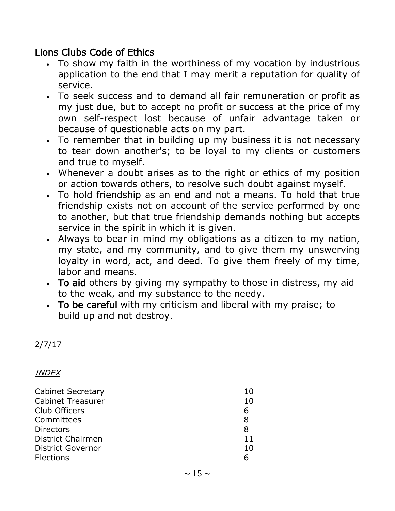#### Lions Clubs Code of Ethics

- To show my faith in the worthiness of my vocation by industrious application to the end that I may merit a reputation for quality of service.
- To seek success and to demand all fair remuneration or profit as my just due, but to accept no profit or success at the price of my own self-respect lost because of unfair advantage taken or because of questionable acts on my part.
- To remember that in building up my business it is not necessary to tear down another's; to be loyal to my clients or customers and true to myself.
- Whenever a doubt arises as to the right or ethics of my position or action towards others, to resolve such doubt against myself.
- To hold friendship as an end and not a means. To hold that true friendship exists not on account of the service performed by one to another, but that true friendship demands nothing but accepts service in the spirit in which it is given.
- Always to bear in mind my obligations as a citizen to my nation, my state, and my community, and to give them my unswerving loyalty in word, act, and deed. To give them freely of my time, labor and means.
- To aid others by giving my sympathy to those in distress, my aid to the weak, and my substance to the needy.
- To be careful with my criticism and liberal with my praise; to build up and not destroy.

#### 2/7/17

#### INDEX

| <b>Cabinet Secretary</b> | 10 |
|--------------------------|----|
| <b>Cabinet Treasurer</b> | 10 |
| Club Officers            | 6  |
| Committees               | 8  |
| <b>Directors</b>         | 8  |
| <b>District Chairmen</b> | 11 |
| <b>District Governor</b> | 10 |
| Elections                |    |